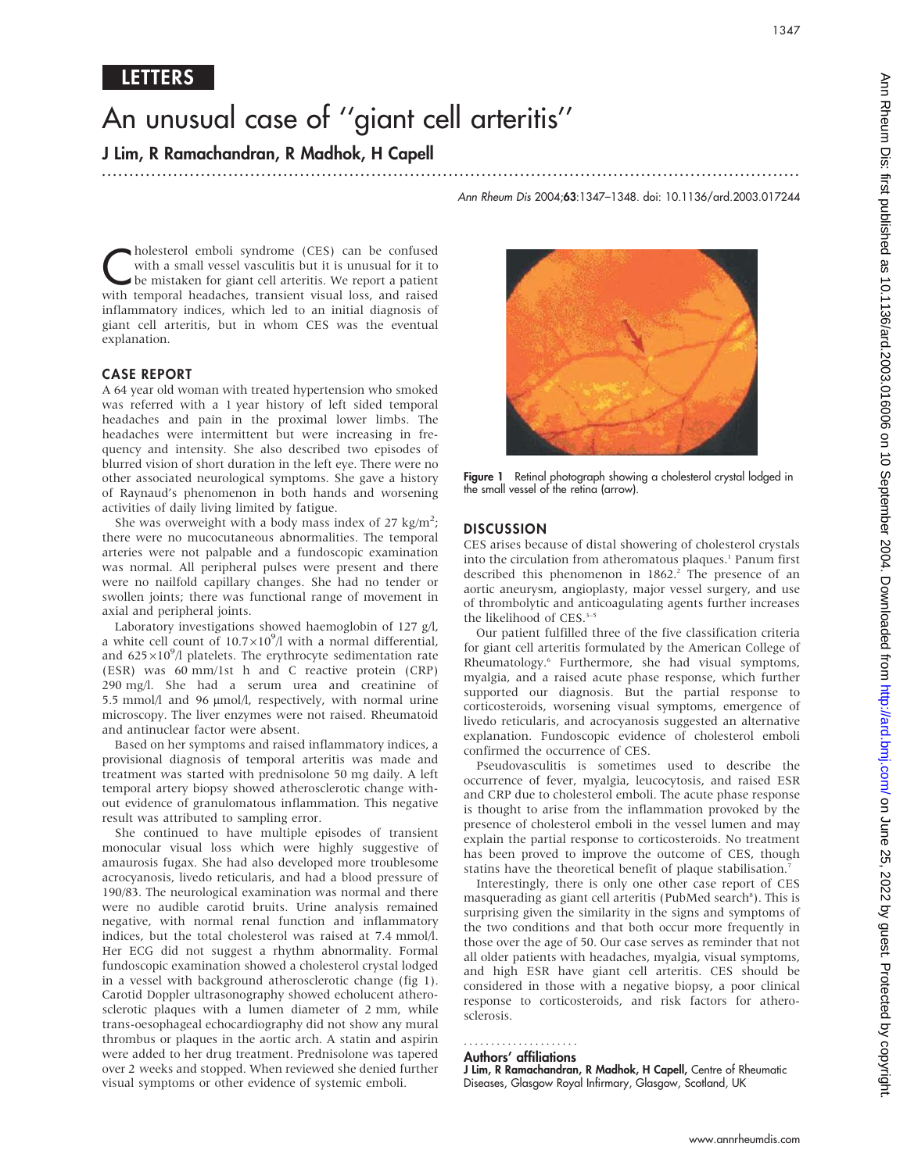## LETTERS

# An unusual case of ''giant cell arteritis''

...............................................................................................................................

J Lim, R Ramachandran, R Madhok, H Capell

Ann Rheum Dis 2004;63:1347–1348. doi: 10.1136/ard.2003.017244

**Cholesterol emboli syndrome (CES) can be confused** with a small vessel vasculitis but it is unusual for it to be mistaken for giant cell arteritis. We report a patient with temporal beadaches, transient visual loss, and r with a small vessel vasculitis but it is unusual for it to with temporal headaches, transient visual loss, and raised inflammatory indices, which led to an initial diagnosis of giant cell arteritis, but in whom CES was the eventual explanation.

### CASE REPORT

A 64 year old woman with treated hypertension who smoked was referred with a 1 year history of left sided temporal headaches and pain in the proximal lower limbs. The headaches were intermittent but were increasing in frequency and intensity. She also described two episodes of blurred vision of short duration in the left eye. There were no other associated neurological symptoms. She gave a history of Raynaud's phenomenon in both hands and worsening activities of daily living limited by fatigue.

She was overweight with a body mass index of 27 kg/m<sup>2</sup>; there were no mucocutaneous abnormalities. The temporal arteries were not palpable and a fundoscopic examination was normal. All peripheral pulses were present and there were no nailfold capillary changes. She had no tender or swollen joints; there was functional range of movement in axial and peripheral joints.

Laboratory investigations showed haemoglobin of 127 g/l, a white cell count of  $10.7 \times 10^9$ /l with a normal differential, and  $625\times10^9$ /l platelets. The erythrocyte sedimentation rate (ESR) was 60 mm/1st h and C reactive protein (CRP) 290 mg/l. She had a serum urea and creatinine of 5.5 mmol/l and 96 µmol/l, respectively, with normal urine microscopy. The liver enzymes were not raised. Rheumatoid and antinuclear factor were absent.

Based on her symptoms and raised inflammatory indices, a provisional diagnosis of temporal arteritis was made and treatment was started with prednisolone 50 mg daily. A left temporal artery biopsy showed atherosclerotic change without evidence of granulomatous inflammation. This negative result was attributed to sampling error.

She continued to have multiple episodes of transient monocular visual loss which were highly suggestive of amaurosis fugax. She had also developed more troublesome acrocyanosis, livedo reticularis, and had a blood pressure of 190/83. The neurological examination was normal and there were no audible carotid bruits. Urine analysis remained negative, with normal renal function and inflammatory indices, but the total cholesterol was raised at 7.4 mmol/l. Her ECG did not suggest a rhythm abnormality. Formal fundoscopic examination showed a cholesterol crystal lodged in a vessel with background atherosclerotic change (fig 1). Carotid Doppler ultrasonography showed echolucent atherosclerotic plaques with a lumen diameter of 2 mm, while trans-oesophageal echocardiography did not show any mural thrombus or plaques in the aortic arch. A statin and aspirin were added to her drug treatment. Prednisolone was tapered over 2 weeks and stopped. When reviewed she denied further visual symptoms or other evidence of systemic emboli.



Figure 1 Retinal photograph showing a cholesterol crystal lodged in the small vessel of the retina (arrow).

### **DISCUSSION**

CES arises because of distal showering of cholesterol crystals into the circulation from atheromatous plaques.<sup>1</sup> Panum first described this phenomenon in  $1862$ .<sup>2</sup> The presence of an aortic aneurysm, angioplasty, major vessel surgery, and use of thrombolytic and anticoagulating agents further increases the likelihood of CES.<sup>3-5</sup>

Our patient fulfilled three of the five classification criteria for giant cell arteritis formulated by the American College of Rheumatology.6 Furthermore, she had visual symptoms, myalgia, and a raised acute phase response, which further supported our diagnosis. But the partial response to corticosteroids, worsening visual symptoms, emergence of livedo reticularis, and acrocyanosis suggested an alternative explanation. Fundoscopic evidence of cholesterol emboli confirmed the occurrence of CES.

Pseudovasculitis is sometimes used to describe the occurrence of fever, myalgia, leucocytosis, and raised ESR and CRP due to cholesterol emboli. The acute phase response is thought to arise from the inflammation provoked by the presence of cholesterol emboli in the vessel lumen and may explain the partial response to corticosteroids. No treatment has been proved to improve the outcome of CES, though statins have the theoretical benefit of plaque stabilisation.7

Interestingly, there is only one other case report of CES masquerading as giant cell arteritis (PubMed search<sup>8</sup>). This is surprising given the similarity in the signs and symptoms of the two conditions and that both occur more frequently in those over the age of 50. Our case serves as reminder that not all older patients with headaches, myalgia, visual symptoms, and high ESR have giant cell arteritis. CES should be considered in those with a negative biopsy, a poor clinical response to corticosteroids, and risk factors for atherosclerosis.

### Authors' affiliations .....................

J Lim, R Ramachandran, R Madhok, H Capell, Centre of Rheumatic Diseases, Glasgow Royal Infirmary, Glasgow, Scotland, UK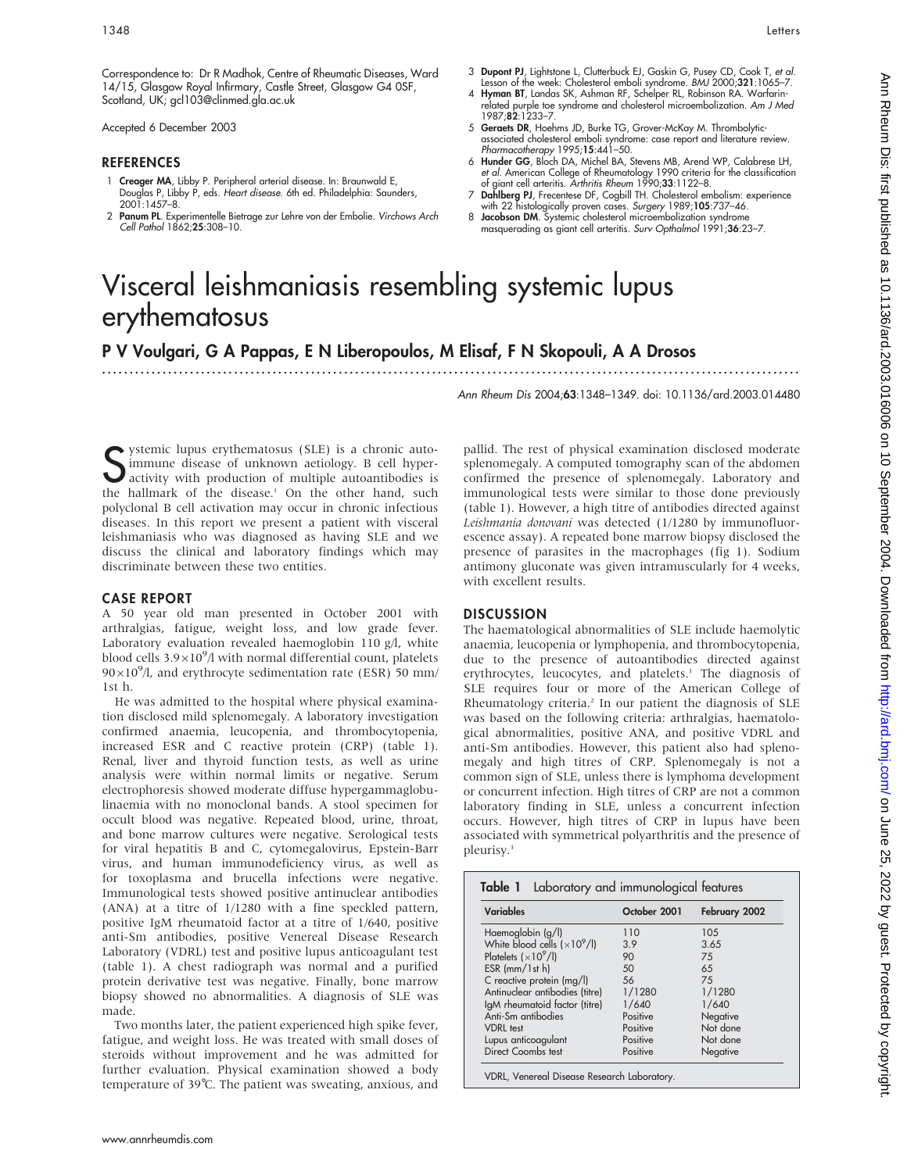Accepted 6 December 2003

### REFERENCES

- 1 **Creager MA**, Libby P. Peripheral arterial disease. In: Braunwald E,<br>Douglas P, Libby P, eds. *Heart disease. 6*th ed. Philadelphia: Saunders, 2001:1457–8.
- 2 Panum PL. Experimentelle Bietrage zur Lehre von der Embolie. Virchows Arch Cell Pathol 1862;25:308–10.
- 3 Dupont PJ, Lightstone L, Clutterbuck EJ, Gaskin G, Pusey CD, Cook T, et al. Lesson of the week: Cholesterol emboli syndrome. BMJ 2000;321:1065–7.
- 4 Hyman BT, Landas SK, Ashman RF, Schelper RL, Robinson RA. Warfarin-related purple toe syndrome and cholesterol microembolization. Am J Med 1987;82:1233–7.
- 5 Geraets DR, Hoehms JD, Burke TG, Grover-McKay M. Thrombolyticassociated cholesterol emboli syndrome: case report and literature review. Pharmacotherapy 1995;15:441–50.
- 6 Hunder GG, Bloch DA, Michel BA, Stevens MB, Arend WP, Calabrese LH, e*t al.* American College of Rheumatology 1990 criteria for the classification<br>of giant cell arteritis. *Arthritis Rheum* 1990;**33**:1122–8.
- 7 Dahlberg PJ, Frecentese DF, Cogbill TH. Cholesterol embolism: experience with 22 histologically proven cases. Surgery 1989;105:737-46.
- 8 Jacobson DM. Systemic cholesterol microembolization syndrome masquerading as giant cell arteritis. Surv Opthalmol 1991;36:23–7.

# Visceral leishmaniasis resembling systemic lupus erythematosus

P V Voulgari, G A Pappas, E N Liberopoulos, M Elisaf, F N Skopouli, A A Drosos

...............................................................................................................................

Ann Rheum Dis 2004;63:1348–1349. doi: 10.1136/ard.2003.014480

Subsectional SUE) STAR SUE TO SUBSECT THE MOVIE CONTROLLED SUBSECTION AND ACTUAL ACTOR ACTOR ACTOR ACTOR ACTOR ACTOR AND THE ALL AND THE ALL AND THE DISPONENT OF THE ALL AND THE DISPONENT OF THE OUTSELL AS WELL ASSECT THAT ystemic lupus erythematosus (SLE) is a chronic autoimmune disease of unknown aetiology. B cell hyperactivity with production of multiple autoantibodies is polyclonal B cell activation may occur in chronic infectious diseases. In this report we present a patient with visceral leishmaniasis who was diagnosed as having SLE and we discuss the clinical and laboratory findings which may discriminate between these two entities.

### CASE REPORT

A 50 year old man presented in October 2001 with arthralgias, fatigue, weight loss, and low grade fever. Laboratory evaluation revealed haemoglobin 110 g/l, white blood cells  $3.9\times10^{9}$ /l with normal differential count, platelets  $90\times10^{9}$ /l, and erythrocyte sedimentation rate (ESR) 50 mm/ 1st h.

He was admitted to the hospital where physical examination disclosed mild splenomegaly. A laboratory investigation confirmed anaemia, leucopenia, and thrombocytopenia, increased ESR and C reactive protein (CRP) (table 1). Renal, liver and thyroid function tests, as well as urine analysis were within normal limits or negative. Serum electrophoresis showed moderate diffuse hypergammaglobulinaemia with no monoclonal bands. A stool specimen for occult blood was negative. Repeated blood, urine, throat, and bone marrow cultures were negative. Serological tests for viral hepatitis B and C, cytomegalovirus, Epstein-Barr virus, and human immunodeficiency virus, as well as for toxoplasma and brucella infections were negative. Immunological tests showed positive antinuclear antibodies (ANA) at a titre of 1/1280 with a fine speckled pattern, positive IgM rheumatoid factor at a titre of 1/640, positive anti-Sm antibodies, positive Venereal Disease Research Laboratory (VDRL) test and positive lupus anticoagulant test (table 1). A chest radiograph was normal and a purified protein derivative test was negative. Finally, bone marrow biopsy showed no abnormalities. A diagnosis of SLE was made.

Two months later, the patient experienced high spike fever, fatigue, and weight loss. He was treated with small doses of steroids without improvement and he was admitted for further evaluation. Physical examination showed a body temperature of 39˚C. The patient was sweating, anxious, and

pallid. The rest of physical examination disclosed moderate splenomegaly. A computed tomography scan of the abdomen confirmed the presence of splenomegaly. Laboratory and immunological tests were similar to those done previously (table 1). However, a high titre of antibodies directed against Leishmania donovani was detected (1/1280 by immunofluorescence assay). A repeated bone marrow biopsy disclosed the presence of parasites in the macrophages (fig 1). Sodium antimony gluconate was given intramuscularly for 4 weeks, with excellent results.

### **DISCUSSION**

The haematological abnormalities of SLE include haemolytic anaemia, leucopenia or lymphopenia, and thrombocytopenia, due to the presence of autoantibodies directed against erythrocytes, leucocytes, and platelets.<sup>1</sup> The diagnosis of SLE requires four or more of the American College of Rheumatology criteria.<sup>2</sup> In our patient the diagnosis of SLE was based on the following criteria: arthralgias, haematological abnormalities, positive ANA, and positive VDRL and anti-Sm antibodies. However, this patient also had splenomegaly and high titres of CRP. Splenomegaly is not a common sign of SLE, unless there is lymphoma development or concurrent infection. High titres of CRP are not a common laboratory finding in SLE, unless a concurrent infection occurs. However, high titres of CRP in lupus have been associated with symmetrical polyarthritis and the presence of pleurisy.3

| <b>Variables</b>               | October 2001 | February 2002 |
|--------------------------------|--------------|---------------|
| Haemoglobin (g/l)              | 110          | 105           |
| White blood cells $(x10^9/l)$  | 3.9          | 3.65          |
| Platelets $(x10^9/l)$          | 90           | 75            |
| $ESR$ (mm/1st h)               | 50           | 65            |
| C reactive protein (mg/l)      | 56           | 75            |
| Antinuclear antibodies (titre) | 1/1280       | 1/1280        |
| IgM rheumatoid factor (titre)  | 1/640        | 1/640         |
| Anti-Sm antibodies             | Positive     | Negative      |
| <b>VDRL</b> test               | Positive     | Not done      |
| Lupus anticoagulant            | Positive     | Not done      |
| Direct Coombs test             | Positive     | Negative      |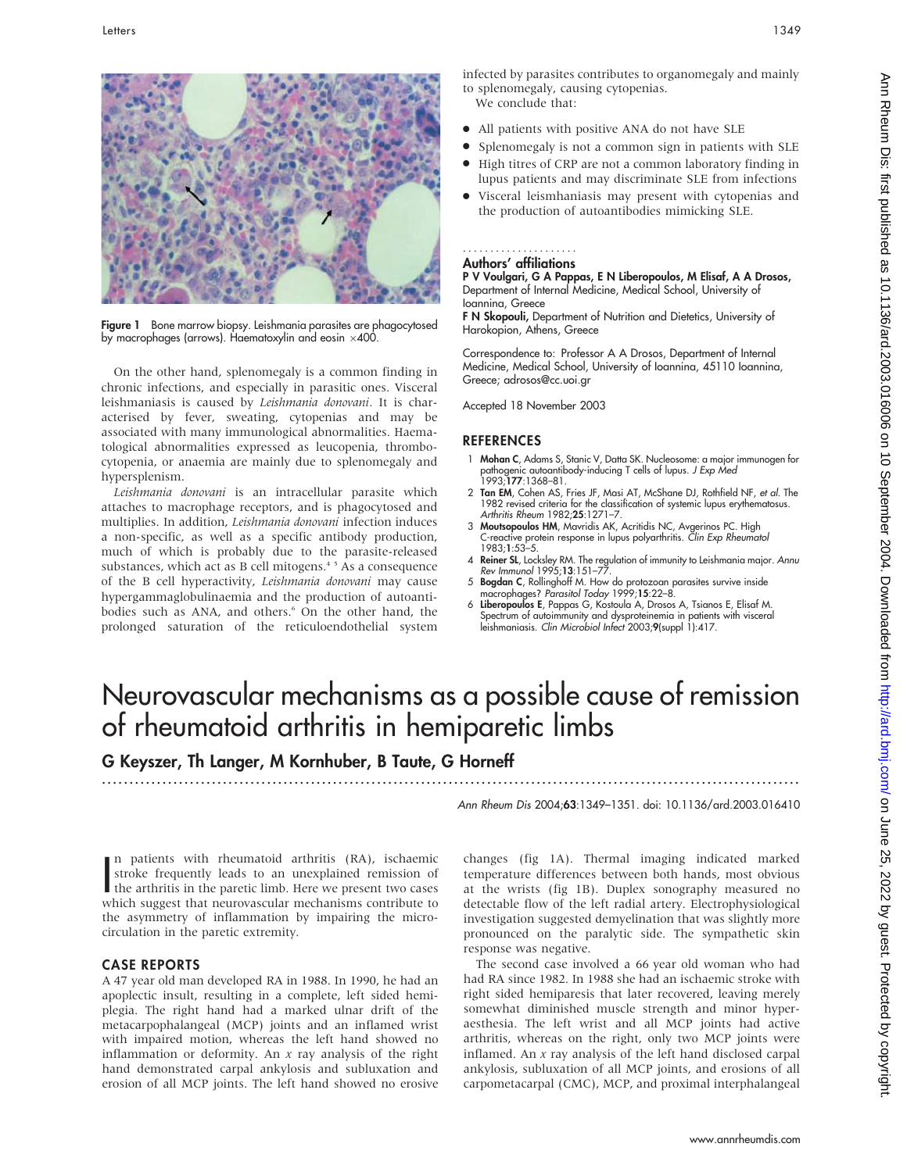

Figure 1 Bone marrow biopsy. Leishmania parasites are phagocytosed by macrophages (arrows). Haematoxylin and eosin  $\times$ 400.

On the other hand, splenomegaly is a common finding in chronic infections, and especially in parasitic ones. Visceral leishmaniasis is caused by Leishmania donovani. It is characterised by fever, sweating, cytopenias and may be associated with many immunological abnormalities. Haematological abnormalities expressed as leucopenia, thrombocytopenia, or anaemia are mainly due to splenomegaly and hypersplenism.

Leishmania donovani is an intracellular parasite which attaches to macrophage receptors, and is phagocytosed and multiplies. In addition, Leishmania donovani infection induces a non-specific, as well as a specific antibody production, much of which is probably due to the parasite-released substances, which act as B cell mitogens.<sup>45</sup> As a consequence of the B cell hyperactivity, Leishmania donovani may cause hypergammaglobulinaemia and the production of autoantibodies such as ANA, and others.<sup>6</sup> On the other hand, the prolonged saturation of the reticuloendothelial system

infected by parasites contributes to organomegaly and mainly to splenomegaly, causing cytopenias. We conclude that:

- All patients with positive ANA do not have SLE
- N Splenomegaly is not a common sign in patients with SLE
- High titres of CRP are not a common laboratory finding in lupus patients and may discriminate SLE from infections
- Visceral leismhaniasis may present with cytopenias and the production of autoantibodies mimicking SLE.

### Authors' affiliations .....................

P V Voulgari, G A Pappas, E N Liberopoulos, M Elisaf, A A Drosos, Department of Internal Medicine, Medical School, University of Ioannina, Greece

F N Skopouli, Department of Nutrition and Dietetics, University of Harokopion, Athens, Greece

Correspondence to: Professor A A Drosos, Department of Internal Medicine, Medical School, University of Ioannina, 45110 Ioannina, Greece; adrosos@cc.uoi.gr

Accepted 18 November 2003

### REFERENCES

- 1 Mohan C, Adams S, Stanic V, Datta SK. Nucleosome: a major immunogen for pathogenic autoantibody-inducing T cells of lupus. *J Exp Med*<br>1993;**177**:1368–81.
- 2 Tan EM, Cohen AS, Fries JF, Masi AT, McShane DJ, Rothfield NF, et al. The 1982 revised criteria for the classification of systemic lupus erythematosus. Arthritis Rheum 1982;25:1271-7.
- 3 Moutsopoulos HM, Mavridis AK, Acritidis NC, Avgerinos PC. High C-reactive protein response in lupus polyarthritis. Clin Exp Rheumatol 1983;1:53–5.
- 4 Reiner SL, Locksley RM. The regulation of immunity to Leishmania major. Annu Rev Immunol 1995;13:151–77.
- 5 Bogdan C, Rollinghoff M. How do protozoan parasites survive inside macrophages? Parasitol Today 1999;15:22–8.
- 6 Liberopoulos E, Pappas G, Kostoula A, Drosos A, Tsianos E, Elisaf M. Spectrum of autoimmunity and dysproteinemia in patients with visceral leishmaniasis. Clin Microbiol Infect 2003;9(suppl 1):417.

# Neurovascular mechanisms as a possible cause of remission of rheumatoid arthritis in hemiparetic limbs

## G Keyszer, Th Langer, M Kornhuber, B Taute, G Horneff

...............................................................................................................................

Ann Rheum Dis 2004;63:1349–1351. doi: 10.1136/ard.2003.016410

In patients with rheumatoid arthritis (KA), ischaemic<br>stroke frequently leads to an unexplained remission of<br>the arthritis in the paretic limb. Here we present two cases<br>which suggest that neurogecular mechanisms contribut n patients with rheumatoid arthritis (RA), ischaemic stroke frequently leads to an unexplained remission of which suggest that neurovascular mechanisms contribute to the asymmetry of inflammation by impairing the microcirculation in the paretic extremity.

### CASE REPORTS

A 47 year old man developed RA in 1988. In 1990, he had an apoplectic insult, resulting in a complete, left sided hemiplegia. The right hand had a marked ulnar drift of the metacarpophalangeal (MCP) joints and an inflamed wrist with impaired motion, whereas the left hand showed no inflammation or deformity. An  $x$  ray analysis of the right hand demonstrated carpal ankylosis and subluxation and erosion of all MCP joints. The left hand showed no erosive changes (fig 1A). Thermal imaging indicated marked temperature differences between both hands, most obvious at the wrists (fig 1B). Duplex sonography measured no detectable flow of the left radial artery. Electrophysiological investigation suggested demyelination that was slightly more pronounced on the paralytic side. The sympathetic skin response was negative.

The second case involved a 66 year old woman who had had RA since 1982. In 1988 she had an ischaemic stroke with right sided hemiparesis that later recovered, leaving merely somewhat diminished muscle strength and minor hyperaesthesia. The left wrist and all MCP joints had active arthritis, whereas on the right, only two MCP joints were inflamed. An  $x$  ray analysis of the left hand disclosed carpal ankylosis, subluxation of all MCP joints, and erosions of all carpometacarpal (CMC), MCP, and proximal interphalangeal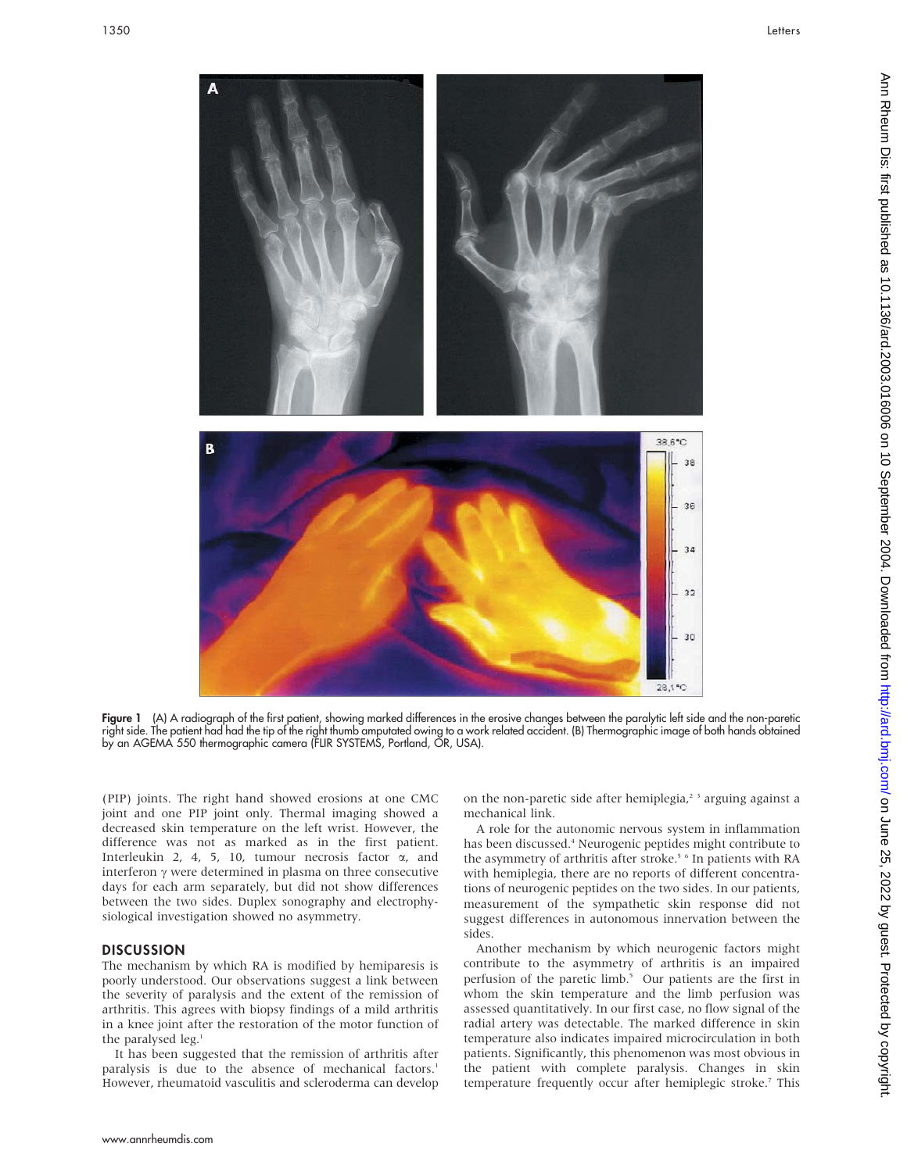

Figure 1 (A) A radiograph of the first patient, showing marked differences in the erosive changes between the paralytic left side and the non-paretic right side. The patient had had the tip of the right thumb amputated owing to a work related accident. (B) Thermographic image of both hands obtained by an AGEMA 550 thermographic camera (FLIR SYSTEMS, Portland, OR, USA).

(PIP) joints. The right hand showed erosions at one CMC joint and one PIP joint only. Thermal imaging showed a decreased skin temperature on the left wrist. However, the difference was not as marked as in the first patient. Interleukin 2, 4, 5, 10, tumour necrosis factor  $\alpha$ , and interferon  $\gamma$  were determined in plasma on three consecutive days for each arm separately, but did not show differences between the two sides. Duplex sonography and electrophysiological investigation showed no asymmetry.

### **DISCUSSION**

The mechanism by which RA is modified by hemiparesis is poorly understood. Our observations suggest a link between the severity of paralysis and the extent of the remission of arthritis. This agrees with biopsy findings of a mild arthritis in a knee joint after the restoration of the motor function of the paralysed leg.<sup>1</sup>

It has been suggested that the remission of arthritis after paralysis is due to the absence of mechanical factors.<sup>1</sup> However, rheumatoid vasculitis and scleroderma can develop on the non-paretic side after hemiplegia,<sup>23</sup> arguing against a mechanical link.

A role for the autonomic nervous system in inflammation has been discussed.<sup>4</sup> Neurogenic peptides might contribute to the asymmetry of arthritis after stroke.<sup>5 6</sup> In patients with RA with hemiplegia, there are no reports of different concentrations of neurogenic peptides on the two sides. In our patients, measurement of the sympathetic skin response did not suggest differences in autonomous innervation between the sides.

Another mechanism by which neurogenic factors might contribute to the asymmetry of arthritis is an impaired perfusion of the paretic limb.<sup>5</sup> Our patients are the first in whom the skin temperature and the limb perfusion was assessed quantitatively. In our first case, no flow signal of the radial artery was detectable. The marked difference in skin temperature also indicates impaired microcirculation in both patients. Significantly, this phenomenon was most obvious in the patient with complete paralysis. Changes in skin temperature frequently occur after hemiplegic stroke.<sup>7</sup> This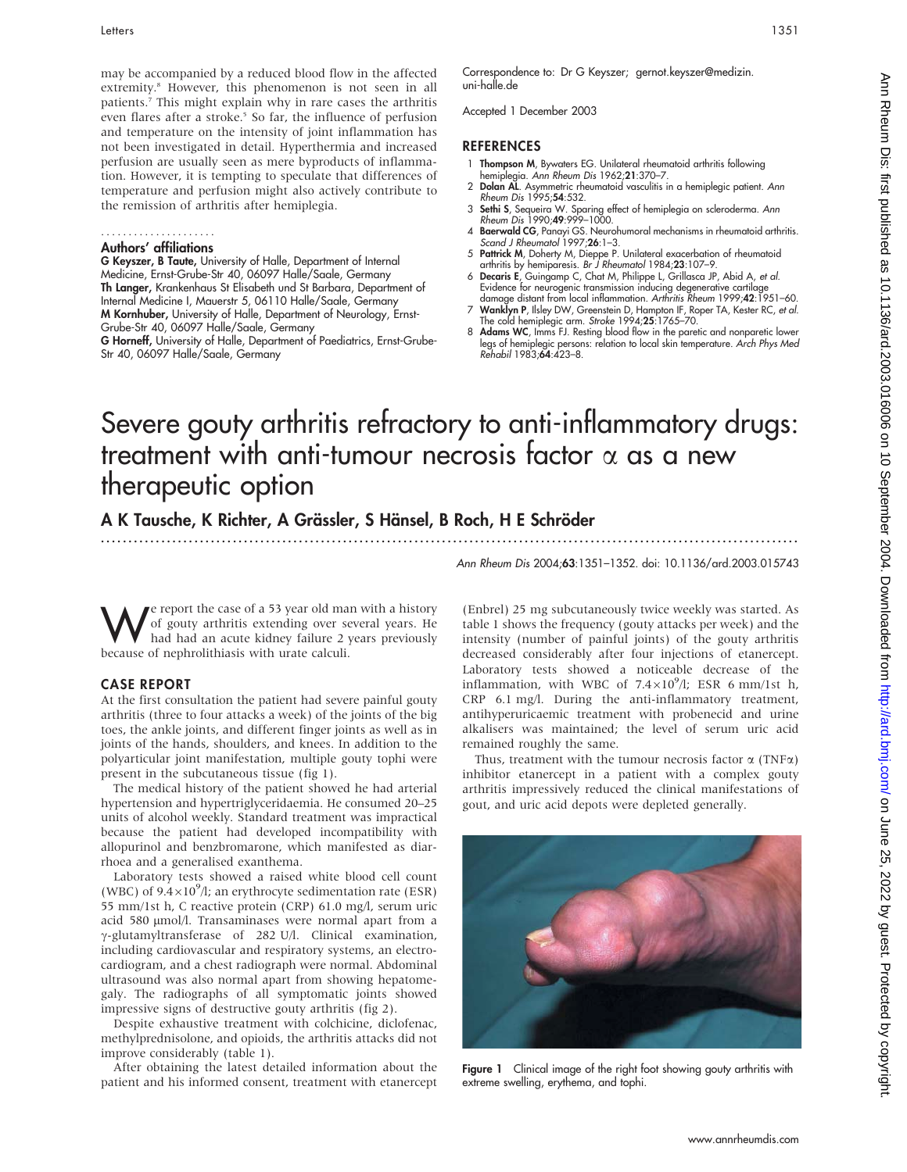may be accompanied by a reduced blood flow in the affected extremity.<sup>8</sup> However, this phenomenon is not seen in all patients.7 This might explain why in rare cases the arthritis even flares after a stroke.<sup>5</sup> So far, the influence of perfusion and temperature on the intensity of joint inflammation has not been investigated in detail. Hyperthermia and increased perfusion are usually seen as mere byproducts of inflammation. However, it is tempting to speculate that differences of temperature and perfusion might also actively contribute to the remission of arthritis after hemiplegia.

## .....................

## Authors' affiliations

G Keyszer, B Taute, University of Halle, Department of Internal Medicine, Ernst-Grube-Str 40, 06097 Halle/Saale, Germany Th Langer, Krankenhaus St Elisabeth und St Barbara, Department of Internal Medicine I, Mauerstr 5, 06110 Halle/Saale, Germany M Kornhuber, University of Halle, Department of Neurology, Ernst-Grube-Str 40, 06097 Halle/Saale, Germany G Horneff, University of Halle, Department of Paediatrics, Ernst-Grube-

Str 40, 06097 Halle/Saale, Germany

Correspondence to: Dr G Keyszer; gernot.keyszer@medizin. uni-halle.de

Accepted 1 December 2003

### REFERENCES

- 1 Thompson M, Bywaters EG. Unilateral rheumatoid arthritis following hemiplegia. Ann Rheum Dis 1962;21:370–7.
- 2 Dolan AL. Asymmetric rheumatoid vasculitis in a hemiplegic patient. Ann Rheum Dis 1995;54:532.
- 3 Sethi S, Sequeira W. Sparing effect of hemiplegia on scleroderma. Ann Rheum Dis 1990;49:999–1000.
- 4 **Baerwald CG**, Panayi GS. Neurohumoral mechanisms in rheumatoid arthritis.<br>Scand J Rheumatol 1997;**26**:1–3.
- 5 Pattrick M, Doherty M, Dieppe P. Unilateral exacerbation of rheumatoid arthritis by hemiparesis. Br J Rheumatol 1984;23:107–9.
- 6 Decaris E, Guingamp C, Chat M, Philippe L, Grillasca JP, Abid A, et al. Evidence for neurogenic transmission inducing degenerative cartilage<br>damage distant from local inflammation. *Arthritis Rheum* 1999;**42**:1951–60.
- Wanklyn P, Ilsley DW, Greenstein D, Hampton IF, Roper TA, Kester RC, et al. The cold hemiplegic arm. Stroke 1994;25:1765–70.
- 8 Adams WC, Imms FJ. Resting blood flow in the paretic and nonparetic lower legs of hemiplegic persons: relation to local skin temperature. Arch Phys Med Rehabil 1983;64:423–8.

# Severe gouty arthritis refractory to anti-inflammatory drugs: treatment with anti-tumour necrosis factor  $\alpha$  as a new therapeutic option

...............................................................................................................................

A K Tausche, K Richter, A Grässler, S Hänsel, B Roch, H E Schröder

Ann Rheum Dis 2004;63:1351–1352. doi: 10.1136/ard.2003.015743

We report the case of a 53 year old man with a history<br>of gouty arthritis extending over several years. He<br>had had an acute kidney failure 2 years previously<br>because of penhrolithicsis with urate calculi of gouty arthritis extending over several years. He had had an acute kidney failure 2 years previously because of nephrolithiasis with urate calculi.

### CASE REPORT

At the first consultation the patient had severe painful gouty arthritis (three to four attacks a week) of the joints of the big toes, the ankle joints, and different finger joints as well as in joints of the hands, shoulders, and knees. In addition to the polyarticular joint manifestation, multiple gouty tophi were present in the subcutaneous tissue (fig 1).

The medical history of the patient showed he had arterial hypertension and hypertriglyceridaemia. He consumed 20–25 units of alcohol weekly. Standard treatment was impractical because the patient had developed incompatibility with allopurinol and benzbromarone, which manifested as diarrhoea and a generalised exanthema.

Laboratory tests showed a raised white blood cell count (WBC) of  $9.4 \times 10^9$ /l; an erythrocyte sedimentation rate (ESR) 55 mm/1st h, C reactive protein (CRP) 61.0 mg/l, serum uric acid 580 µmol/l. Transaminases were normal apart from a  $\gamma$ -glutamyltransferase of 282 U/l. Clinical examination, including cardiovascular and respiratory systems, an electrocardiogram, and a chest radiograph were normal. Abdominal ultrasound was also normal apart from showing hepatomegaly. The radiographs of all symptomatic joints showed impressive signs of destructive gouty arthritis (fig 2).

Despite exhaustive treatment with colchicine, diclofenac, methylprednisolone, and opioids, the arthritis attacks did not improve considerably (table 1).

After obtaining the latest detailed information about the patient and his informed consent, treatment with etanercept (Enbrel) 25 mg subcutaneously twice weekly was started. As table 1 shows the frequency (gouty attacks per week) and the intensity (number of painful joints) of the gouty arthritis decreased considerably after four injections of etanercept. Laboratory tests showed a noticeable decrease of the inflammation, with WBC of  $7.4\times10^9$ /l; ESR 6 mm/1st h, CRP 6.1 mg/l. During the anti-inflammatory treatment, antihyperuricaemic treatment with probenecid and urine alkalisers was maintained; the level of serum uric acid remained roughly the same.

Thus, treatment with the tumour necrosis factor  $\alpha$  (TNF $\alpha$ ) inhibitor etanercept in a patient with a complex gouty arthritis impressively reduced the clinical manifestations of gout, and uric acid depots were depleted generally.



Figure 1 Clinical image of the right foot showing gouty arthritis with extreme swelling, erythema, and tophi.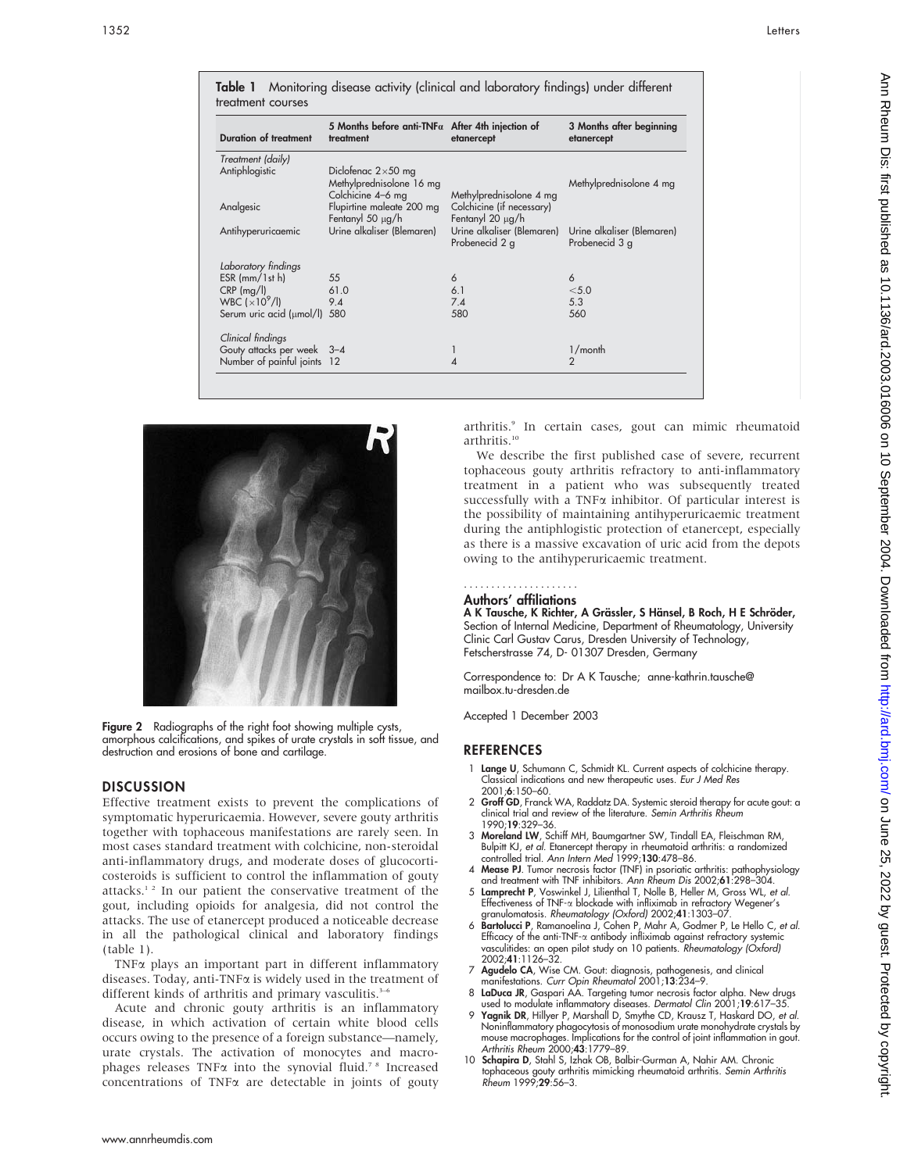| <b>Duration of treatment</b>            | 5 Months before anti-TNF $\alpha$ After 4th injection of<br>treatment      | etanercept                                                       | 3 Months after beginning<br>etanercept       |
|-----------------------------------------|----------------------------------------------------------------------------|------------------------------------------------------------------|----------------------------------------------|
| Treatment (daily)                       |                                                                            |                                                                  |                                              |
| Antiphlogistic                          | Diclofenac $2\times50$ mg<br>Methylprednisolone 16 mg<br>Colchicine 4-6 mg | Methylprednisolone 4 mg                                          | Methylprednisolone 4 mg                      |
| Analgesic                               | Flupirtine maleate 200 mg                                                  | Colchicine (if necessary)                                        |                                              |
| Antihyperuricaemic                      | Fentanyl 50 $\mu$ g/h<br>Urine alkaliser (Blemaren)                        | Fentanyl 20 µg/h<br>Urine alkaliser (Blemaren)<br>Probenecid 2 g | Urine alkaliser (Blemaren)<br>Probenecid 3 g |
| Laboratory findings                     |                                                                            |                                                                  |                                              |
| $ESR$ (mm/ $1st$ h)                     | 55                                                                         | 6                                                                | 6                                            |
| $CRP$ (mg/l)                            | 61.0                                                                       | 6.1                                                              | < 5.0                                        |
| WBC $\left(\times 10^9/\text{l}\right)$ | 9.4                                                                        | 7.4                                                              | 5.3                                          |
| Serum uric acid (µmol/l) 580            |                                                                            | 580                                                              | 560                                          |
| Clinical findings                       |                                                                            |                                                                  |                                              |
| Gouty attacks per week 3-4              |                                                                            |                                                                  | 1/month                                      |
| Number of painful joints 12             |                                                                            | 4                                                                | $\mathcal{P}$                                |





Figure 2 Radiographs of the right foot showing multiple cysts, amorphous calcifications, and spikes of urate crystals in soft tissue, and destruction and erosions of bone and cartilage.

### **DISCUSSION**

Effective treatment exists to prevent the complications of symptomatic hyperuricaemia. However, severe gouty arthritis together with tophaceous manifestations are rarely seen. In most cases standard treatment with colchicine, non-steroidal anti-inflammatory drugs, and moderate doses of glucocorticosteroids is sufficient to control the inflammation of gouty attacks.<sup>12</sup> In our patient the conservative treatment of the gout, including opioids for analgesia, did not control the attacks. The use of etanercept produced a noticeable decrease in all the pathological clinical and laboratory findings (table 1).

TNFa plays an important part in different inflammatory diseases. Today, anti-TNF $\alpha$  is widely used in the treatment of different kinds of arthritis and primary vasculitis.<sup>3-6</sup>

Acute and chronic gouty arthritis is an inflammatory disease, in which activation of certain white blood cells occurs owing to the presence of a foreign substance—namely, urate crystals. The activation of monocytes and macrophages releases TNF $\alpha$  into the synovial fluid.<sup>78</sup> Increased concentrations of TNFa are detectable in joints of gouty

arthritis.<sup>9</sup> In certain cases, gout can mimic rheumatoid arthritis.<sup>10</sup>

We describe the first published case of severe, recurrent tophaceous gouty arthritis refractory to anti-inflammatory treatment in a patient who was subsequently treated successfully with a TNF $\alpha$  inhibitor. Of particular interest is the possibility of maintaining antihyperuricaemic treatment during the antiphlogistic protection of etanercept, especially as there is a massive excavation of uric acid from the depots owing to the antihyperuricaemic treatment.

### Authors' affiliations .....................

A K Tausche, K Richter, A Grässler, S Hänsel, B Roch, H E Schröder, Section of Internal Medicine, Department of Rheumatology, University Clinic Carl Gustav Carus, Dresden University of Technology, Fetscherstrasse 74, D- 01307 Dresden, Germany

Correspondence to: Dr A K Tausche; anne-kathrin.tausche@ mailbox.tu-dresden.de

Accepted 1 December 2003

### **REFERENCES**

- 1 Lange U, Schumann C, Schmidt KL. Current aspects of colchicine therapy. Classical indications and new therapeutic uses. Eur J Med Res 2001;6:150–60.
- 2 Groff GD, Franck WA, Raddatz DA. Systemic steroid therapy for acute gout: a clinical trial and review of the literature. Semin Arthritis Rheum 1990;19:329–36.
- 3 Moreland LW, Schiff MH, Baumgartner SW, Tindall EA, Fleischman RM, Bulpitt KJ*, et al.* Etanercept therapy in rheumatoid arthritis: a randomized<br>controlled trial. *Ann Intern Med* 1999;**130**:478–86.
- 4 Mease PJ. Tumor necrosis factor (TNF) in psoriatic arthritis: pathophysiology
- and treatment with TNF inhibitors. A*nn Rheum Dis* 2002;**61**:298–304.<br>5 **Lamprecht P**, Voswinkel J, Lilienthal T, Nolle B, Heller M, Gross WL, *et al.*<br>1. Effectiveness of TNF-a blockade with infliximab in refractory Wegen granulomatosis. Rheumatology (Oxford) 2002;41:1303–07.
- 6 Bartolucci P, Ramanoelina J, Cohen P, Mahr A, Godmer P, Le Hello C, et al. Efficacy of the anti-TNF- $\alpha$  antibody infliximab against refractory system vasculitides: an open pilot study on 10 patients. Rheumatology (Oxford) 2002;41:1126–32.
- 7 Agudelo CA, Wise CM. Gout: diagnosis, pathogenesis, and clinical manifestations. Curr Opin Rheumatol 2001;13:234–9.
- 8 LaDuca JR, Gaspari AA. Targeting tumor necrosis factor alpha. New drugs used to modulate inflammatory diseases. Dermatol Clin 2001;19:617-35.
- 9 Yagnik DR, Hillyer P, Marshall D, Smythe CD, Krausz T, Haskard DO, et al. Noninflammatory phagocytosis of monosodium urate monohydrate crystals by mouse macrophages. Implications for the control of joint inflammation in gout. Arthritis Rheum 2000;43:1779–89.
- 10 Schapira D, Stahl S, Izhak OB, Balbir-Gurman A, Nahir AM. Chronic tophaceous gouty arthritis mimicking rheumatoid arthritis. *Semin Arthritis*<br>Rheum 1999;**29**:56–3.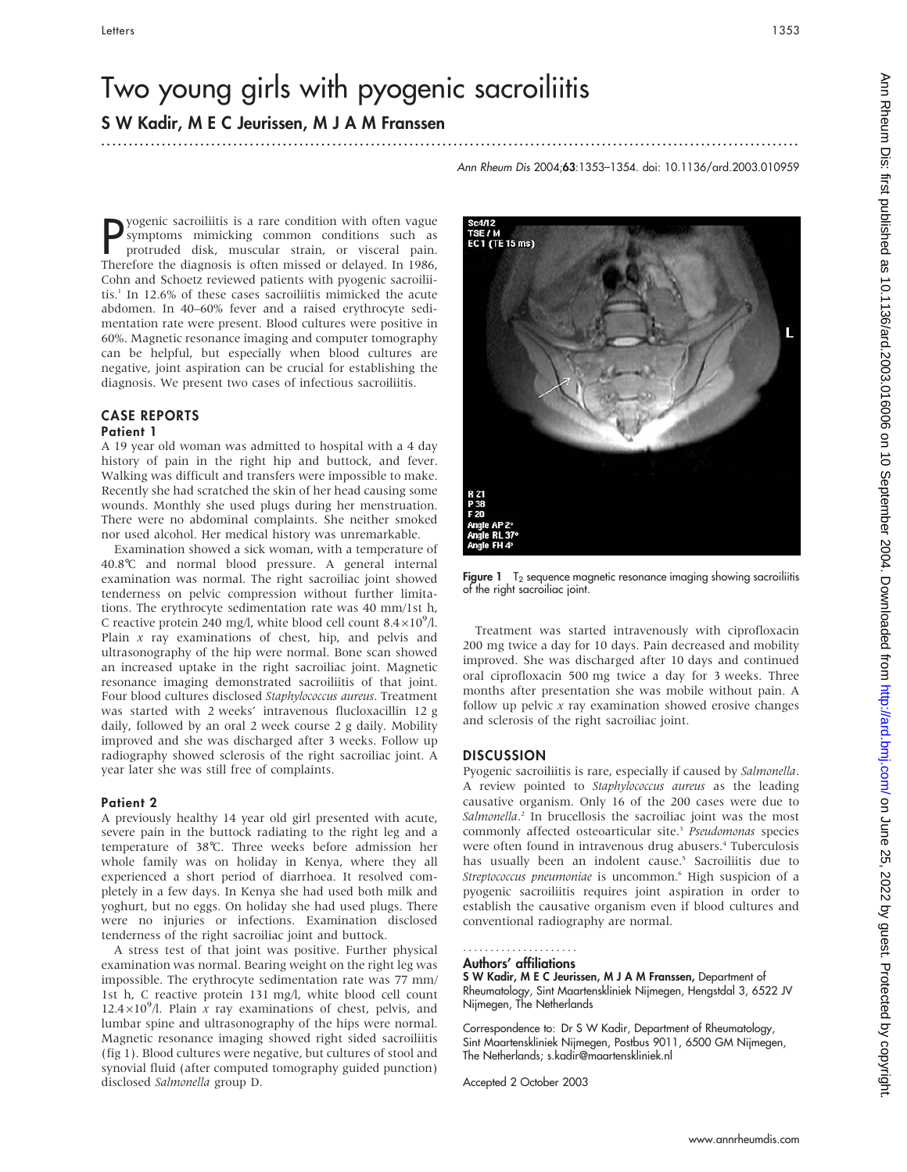### S W Kadir, M E C Jeurissen, M J A M Franssen ...............................................................................................................................

Ann Rheum Dis 2004;63:1353–1354. doi: 10.1136/ard.2003.010959

**P**yogenic sacroiliitis is a rare condition with often vague<br>symptoms mimicking common conditions such as<br>protruded disk, muscular strain, or visceral pain.<br>Therefore the diagnosis is often misced or delayed In 1986 symptoms mimicking common conditions such as protruded disk, muscular strain, or visceral pain. Therefore the diagnosis is often missed or delayed. In 1986, Cohn and Schoetz reviewed patients with pyogenic sacroiliitis.1 In 12.6% of these cases sacroiliitis mimicked the acute abdomen. In 40–60% fever and a raised erythrocyte sedimentation rate were present. Blood cultures were positive in 60%. Magnetic resonance imaging and computer tomography can be helpful, but especially when blood cultures are negative, joint aspiration can be crucial for establishing the diagnosis. We present two cases of infectious sacroiliitis.

# CASE REPORTS

## Patient 1

A 19 year old woman was admitted to hospital with a 4 day history of pain in the right hip and buttock, and fever. Walking was difficult and transfers were impossible to make. Recently she had scratched the skin of her head causing some wounds. Monthly she used plugs during her menstruation. There were no abdominal complaints. She neither smoked nor used alcohol. Her medical history was unremarkable.

Examination showed a sick woman, with a temperature of 40.8˚C and normal blood pressure. A general internal examination was normal. The right sacroiliac joint showed tenderness on pelvic compression without further limitations. The erythrocyte sedimentation rate was 40 mm/1st h, C reactive protein 240 mg/l, white blood cell count  $8.4\times10^{9}$ /l. Plain  $x$  ray examinations of chest, hip, and pelvis and ultrasonography of the hip were normal. Bone scan showed an increased uptake in the right sacroiliac joint. Magnetic resonance imaging demonstrated sacroiliitis of that joint. Four blood cultures disclosed Staphylococcus aureus. Treatment was started with 2 weeks' intravenous flucloxacillin 12 g daily, followed by an oral 2 week course 2 g daily. Mobility improved and she was discharged after 3 weeks. Follow up radiography showed sclerosis of the right sacroiliac joint. A year later she was still free of complaints.

### Patient 2

A previously healthy 14 year old girl presented with acute, severe pain in the buttock radiating to the right leg and a temperature of 38˚C. Three weeks before admission her whole family was on holiday in Kenya, where they all experienced a short period of diarrhoea. It resolved completely in a few days. In Kenya she had used both milk and yoghurt, but no eggs. On holiday she had used plugs. There were no injuries or infections. Examination disclosed tenderness of the right sacroiliac joint and buttock.

A stress test of that joint was positive. Further physical examination was normal. Bearing weight on the right leg was impossible. The erythrocyte sedimentation rate was 77 mm/ 1st h, C reactive protein 131 mg/l, white blood cell count 12.4 $\times$ 10<sup>9</sup>/l. Plain x ray examinations of chest, pelvis, and lumbar spine and ultrasonography of the hips were normal. Magnetic resonance imaging showed right sided sacroiliitis (fig 1). Blood cultures were negative, but cultures of stool and synovial fluid (after computed tomography guided punction) disclosed Salmonella group D.

.<br>"SE / M<br>:C 1 (TE 15 ms)

**Figure 1**  $T_2$  sequence magnetic resonance imaging showing sacroiliitis of the right sacroiliac joint.

Treatment was started intravenously with ciprofloxacin 200 mg twice a day for 10 days. Pain decreased and mobility improved. She was discharged after 10 days and continued oral ciprofloxacin 500 mg twice a day for 3 weeks. Three months after presentation she was mobile without pain. A follow up pelvic  $x$  ray examination showed erosive changes and sclerosis of the right sacroiliac joint.

### **DISCUSSION**

Pyogenic sacroiliitis is rare, especially if caused by Salmonella. A review pointed to Staphylococcus aureus as the leading causative organism. Only 16 of the 200 cases were due to Salmonella.<sup>2</sup> In brucellosis the sacroiliac joint was the most commonly affected osteoarticular site.<sup>3</sup> Pseudomonas species were often found in intravenous drug abusers.<sup>4</sup> Tuberculosis has usually been an indolent cause.<sup>5</sup> Sacroiliitis due to Streptococcus pneumoniae is uncommon.<sup>6</sup> High suspicion of a pyogenic sacroiliitis requires joint aspiration in order to establish the causative organism even if blood cultures and conventional radiography are normal.

#### Authors' affiliations .....................

S W Kadir, M E C Jeurissen, M J A M Franssen, Department of Rheumatology, Sint Maartenskliniek Nijmegen, Hengstdal 3, 6522 JV Nijmegen, The Netherlands

Correspondence to: Dr S W Kadir, Department of Rheumatology, Sint Maartenskliniek Nijmegen, Postbus 9011, 6500 GM Nijmegen, The Netherlands; s.kadir@maartenskliniek.nl

Accepted 2 October 2003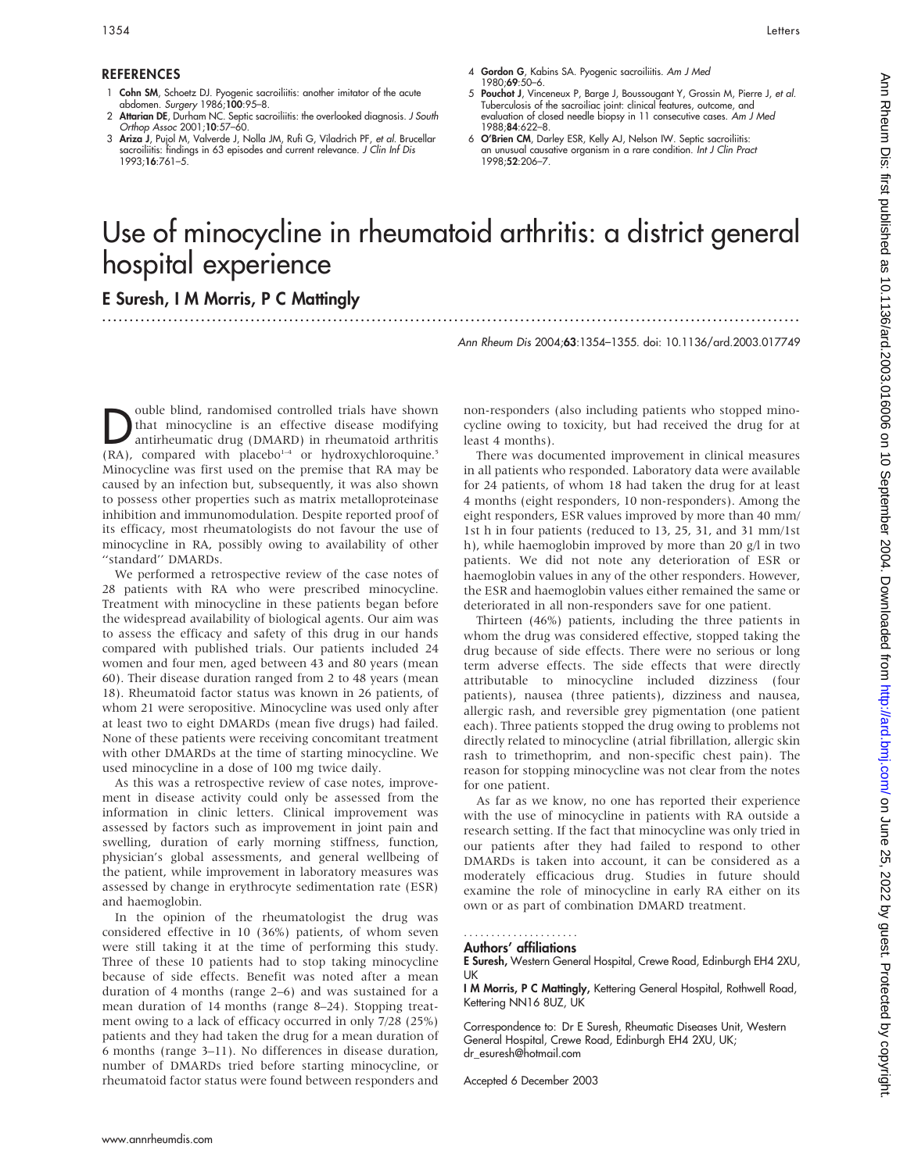### **REFERENCES**

- 1 Cohn SM, Schoetz DJ. Pyogenic sacroiliitis: another imitator of the acute abdomen. Surgery 1986;100:95–8.
- 2 Attarian DE, Durham NC. Septic sacroiliitis: the overlooked diagnosis. J South Orthop Assoc 2001;10:57–60.
- 3 Ariza J, Pujol M, Valverde J, Nolla JM, Rufi G, Viladrich PF, et al. Brucellar sacroiliitis: findings in 63 episodes and current relevance. J Clin Inf Dis 1993;16:761–5.
- 4 Gordon G, Kabins SA. Pyogenic sacroiliitis. Am J Med 1980;69:50–6.
- 5 Pouchot J, Vinceneux P, Barge J, Boussougant Y, Grossin M, Pierre J, et al. Tuberculosis of the sacroiliac joint: clinical features, outcome, and evaluation of closed needle biopsy in 11 consecutive cases. Am J Med 1988;84:622–8.
- 6 O'Brien CM, Darley ESR, Kelly AJ, Nelson IW. Septic sacroiliitis: an unusual causative organism in a rare condition. Int J Clin Pract 1998;52:206–7.

# Use of minocycline in rheumatoid arthritis: a district general hospital experience

# E Suresh, I M Morris, P C Mattingly

Ann Rheum Dis 2004;63:1354–1355. doi: 10.1136/ard.2003.017749

...............................................................................................................................

**D**ouble blind, randomised controlled trials have shown<br>that minocycline is an effective disease modifying<br>antirheumatic drug (DMARD) in rheumatoid arthritis<br>(PA) compared with placebol<sup>14</sup> or hydroxychlopequine? that minocycline is an effective disease modifying (RA), compared with placebo<sup>1-4</sup> or hydroxychloroquine.<sup>5</sup> Minocycline was first used on the premise that RA may be caused by an infection but, subsequently, it was also shown to possess other properties such as matrix metalloproteinase inhibition and immunomodulation. Despite reported proof of its efficacy, most rheumatologists do not favour the use of minocycline in RA, possibly owing to availability of other "standard" DMARDs.

We performed a retrospective review of the case notes of 28 patients with RA who were prescribed minocycline. Treatment with minocycline in these patients began before the widespread availability of biological agents. Our aim was to assess the efficacy and safety of this drug in our hands compared with published trials. Our patients included 24 women and four men, aged between 43 and 80 years (mean 60). Their disease duration ranged from 2 to 48 years (mean 18). Rheumatoid factor status was known in 26 patients, of whom 21 were seropositive. Minocycline was used only after at least two to eight DMARDs (mean five drugs) had failed. None of these patients were receiving concomitant treatment with other DMARDs at the time of starting minocycline. We used minocycline in a dose of 100 mg twice daily.

As this was a retrospective review of case notes, improvement in disease activity could only be assessed from the information in clinic letters. Clinical improvement was assessed by factors such as improvement in joint pain and swelling, duration of early morning stiffness, function, physician's global assessments, and general wellbeing of the patient, while improvement in laboratory measures was assessed by change in erythrocyte sedimentation rate (ESR) and haemoglobin.

In the opinion of the rheumatologist the drug was considered effective in 10 (36%) patients, of whom seven were still taking it at the time of performing this study. Three of these 10 patients had to stop taking minocycline because of side effects. Benefit was noted after a mean duration of 4 months (range 2–6) and was sustained for a mean duration of 14 months (range 8–24). Stopping treatment owing to a lack of efficacy occurred in only 7/28 (25%) patients and they had taken the drug for a mean duration of 6 months (range 3–11). No differences in disease duration, number of DMARDs tried before starting minocycline, or rheumatoid factor status were found between responders and non-responders (also including patients who stopped minocycline owing to toxicity, but had received the drug for at least 4 months).

There was documented improvement in clinical measures in all patients who responded. Laboratory data were available for 24 patients, of whom 18 had taken the drug for at least 4 months (eight responders, 10 non-responders). Among the eight responders, ESR values improved by more than 40 mm/ 1st h in four patients (reduced to 13, 25, 31, and 31 mm/1st h), while haemoglobin improved by more than 20 g/l in two patients. We did not note any deterioration of ESR or haemoglobin values in any of the other responders. However, the ESR and haemoglobin values either remained the same or deteriorated in all non-responders save for one patient.

Thirteen (46%) patients, including the three patients in whom the drug was considered effective, stopped taking the drug because of side effects. There were no serious or long term adverse effects. The side effects that were directly attributable to minocycline included dizziness (four patients), nausea (three patients), dizziness and nausea, allergic rash, and reversible grey pigmentation (one patient each). Three patients stopped the drug owing to problems not directly related to minocycline (atrial fibrillation, allergic skin rash to trimethoprim, and non-specific chest pain). The reason for stopping minocycline was not clear from the notes for one patient.

As far as we know, no one has reported their experience with the use of minocycline in patients with RA outside a research setting. If the fact that minocycline was only tried in our patients after they had failed to respond to other DMARDs is taken into account, it can be considered as a moderately efficacious drug. Studies in future should examine the role of minocycline in early RA either on its own or as part of combination DMARD treatment.

## .....................

Authors' affiliations

E Suresh, Western General Hospital, Crewe Road, Edinburgh EH4 2XU, UK

I M Morris, P C Mattingly, Kettering General Hospital, Rothwell Road, Kettering NN16 8UZ, UK

Correspondence to: Dr E Suresh, Rheumatic Diseases Unit, Western General Hospital, Crewe Road, Edinburgh EH4 2XU, UK; dr\_esuresh@hotmail.com

Accepted 6 December 2003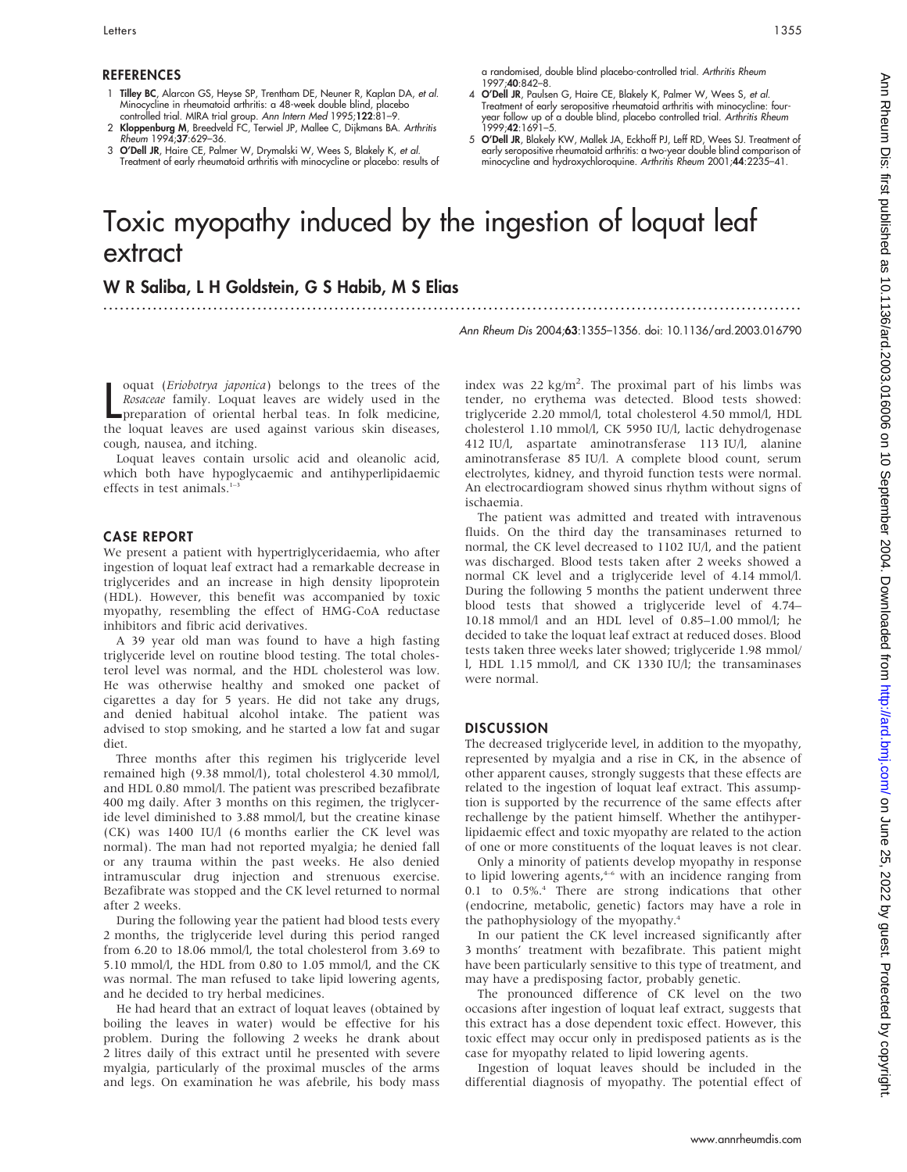- 1 Tilley BC, Alarcon GS, Heyse SP, Trentham DE, Neuner R, Kaplan DA, et al. Minocycline in rheumatoid arthritis: a 48-week double blind, placebo controlled trial. MIRA trial group. Ann Intern Med 1995;122:81–9.
- 2 **Kloppenburg M**, Breedveld FC, Terwiel JP, Mallee C, Dijkmans BA. *Arthritis*<br>Rheum 1994;**37**:629–36.
- 3 O'Dell JR, Haire CE, Palmer W, Drymalski W, Wees S, Blakely K, et al. Treatment of early rheumatoid arthritis with minocycline or placebo: results of

a randomised, double blind placebo-controlled trial. Arthritis Rheum 1997;40:842–8.

- 4 O'Dell JR, Paulsen G, Haire CE, Blakely K, Palmer W, Wees S, et al. Treatment of early seropositive rheumatoid arthritis with minocycline: fouryear follow up of a double blind, placebo controlled trial. Arthritis Rheum 1999;42:1691–5.
- 5 O'Dell JR, Blakely KW, Mallek JA, Eckhoff PJ, Leff RD, Wees SJ. Treatment of early seropositive rheumatoid arthritis: a two-year double blind comparison of<br>minocycline and hydroxychloroquine. *Arthritis Rheum* 2001;**44**:2235–41.

# Toxic myopathy induced by the ingestion of loquat leaf extract

...............................................................................................................................

## W R Saliba, L H Goldstein, G S Habib, M S Elias

Ann Rheum Dis 2004;63:1355–1356. doi: 10.1136/ard.2003.016790

oquat (*Eriobotrya japonica*) belongs to the trees of the *Rosaceae* family. Loquat leaves are widely used in the preparation of oriental herbal teas. In folk medicine, the loquat leaves are used against various skin disea oquat (Eriobotrya japonica) belongs to the trees of the Rosaceae family. Loquat leaves are widely used in the preparation of oriental herbal teas. In folk medicine, cough, nausea, and itching.

Loquat leaves contain ursolic acid and oleanolic acid, which both have hypoglycaemic and antihyperlipidaemic effects in test animals. $1-3$ 

### CASE REPORT

We present a patient with hypertriglyceridaemia, who after ingestion of loquat leaf extract had a remarkable decrease in triglycerides and an increase in high density lipoprotein (HDL). However, this benefit was accompanied by toxic myopathy, resembling the effect of HMG-CoA reductase inhibitors and fibric acid derivatives.

A 39 year old man was found to have a high fasting triglyceride level on routine blood testing. The total cholesterol level was normal, and the HDL cholesterol was low. He was otherwise healthy and smoked one packet of cigarettes a day for 5 years. He did not take any drugs, and denied habitual alcohol intake. The patient was advised to stop smoking, and he started a low fat and sugar diet.

Three months after this regimen his triglyceride level remained high (9.38 mmol/l), total cholesterol 4.30 mmol/l, and HDL 0.80 mmol/l. The patient was prescribed bezafibrate 400 mg daily. After 3 months on this regimen, the triglyceride level diminished to 3.88 mmol/l, but the creatine kinase (CK) was 1400 IU/l (6 months earlier the CK level was normal). The man had not reported myalgia; he denied fall or any trauma within the past weeks. He also denied intramuscular drug injection and strenuous exercise. Bezafibrate was stopped and the CK level returned to normal after 2 weeks.

During the following year the patient had blood tests every 2 months, the triglyceride level during this period ranged from 6.20 to 18.06 mmol/l, the total cholesterol from 3.69 to 5.10 mmol/l, the HDL from 0.80 to 1.05 mmol/l, and the CK was normal. The man refused to take lipid lowering agents, and he decided to try herbal medicines.

He had heard that an extract of loquat leaves (obtained by boiling the leaves in water) would be effective for his problem. During the following 2 weeks he drank about 2 litres daily of this extract until he presented with severe myalgia, particularly of the proximal muscles of the arms and legs. On examination he was afebrile, his body mass

index was  $22 \text{ kg/m}^2$ . The proximal part of his limbs was tender, no erythema was detected. Blood tests showed: triglyceride 2.20 mmol/l, total cholesterol 4.50 mmol/l, HDL cholesterol 1.10 mmol/l, CK 5950 IU/l, lactic dehydrogenase 412 IU/l, aspartate aminotransferase 113 IU/l, alanine aminotransferase 85 IU/l. A complete blood count, serum electrolytes, kidney, and thyroid function tests were normal. An electrocardiogram showed sinus rhythm without signs of ischaemia.

The patient was admitted and treated with intravenous fluids. On the third day the transaminases returned to normal, the CK level decreased to 1102 IU/l, and the patient was discharged. Blood tests taken after 2 weeks showed a normal CK level and a triglyceride level of 4.14 mmol/l. During the following 5 months the patient underwent three blood tests that showed a triglyceride level of 4.74– 10.18 mmol/l and an HDL level of 0.85–1.00 mmol/l; he decided to take the loquat leaf extract at reduced doses. Blood tests taken three weeks later showed; triglyceride 1.98 mmol/ l, HDL 1.15 mmol/l, and CK 1330 IU/l; the transaminases were normal.

### **DISCUSSION**

The decreased triglyceride level, in addition to the myopathy, represented by myalgia and a rise in CK, in the absence of other apparent causes, strongly suggests that these effects are related to the ingestion of loquat leaf extract. This assumption is supported by the recurrence of the same effects after rechallenge by the patient himself. Whether the antihyperlipidaemic effect and toxic myopathy are related to the action of one or more constituents of the loquat leaves is not clear.

Only a minority of patients develop myopathy in response to lipid lowering agents,<sup>4-6</sup> with an incidence ranging from 0.1 to 0.5%.4 There are strong indications that other (endocrine, metabolic, genetic) factors may have a role in the pathophysiology of the myopathy.<sup>4</sup>

In our patient the CK level increased significantly after 3 months' treatment with bezafibrate. This patient might have been particularly sensitive to this type of treatment, and may have a predisposing factor, probably genetic.

The pronounced difference of CK level on the two occasions after ingestion of loquat leaf extract, suggests that this extract has a dose dependent toxic effect. However, this toxic effect may occur only in predisposed patients as is the case for myopathy related to lipid lowering agents.

Ingestion of loquat leaves should be included in the differential diagnosis of myopathy. The potential effect of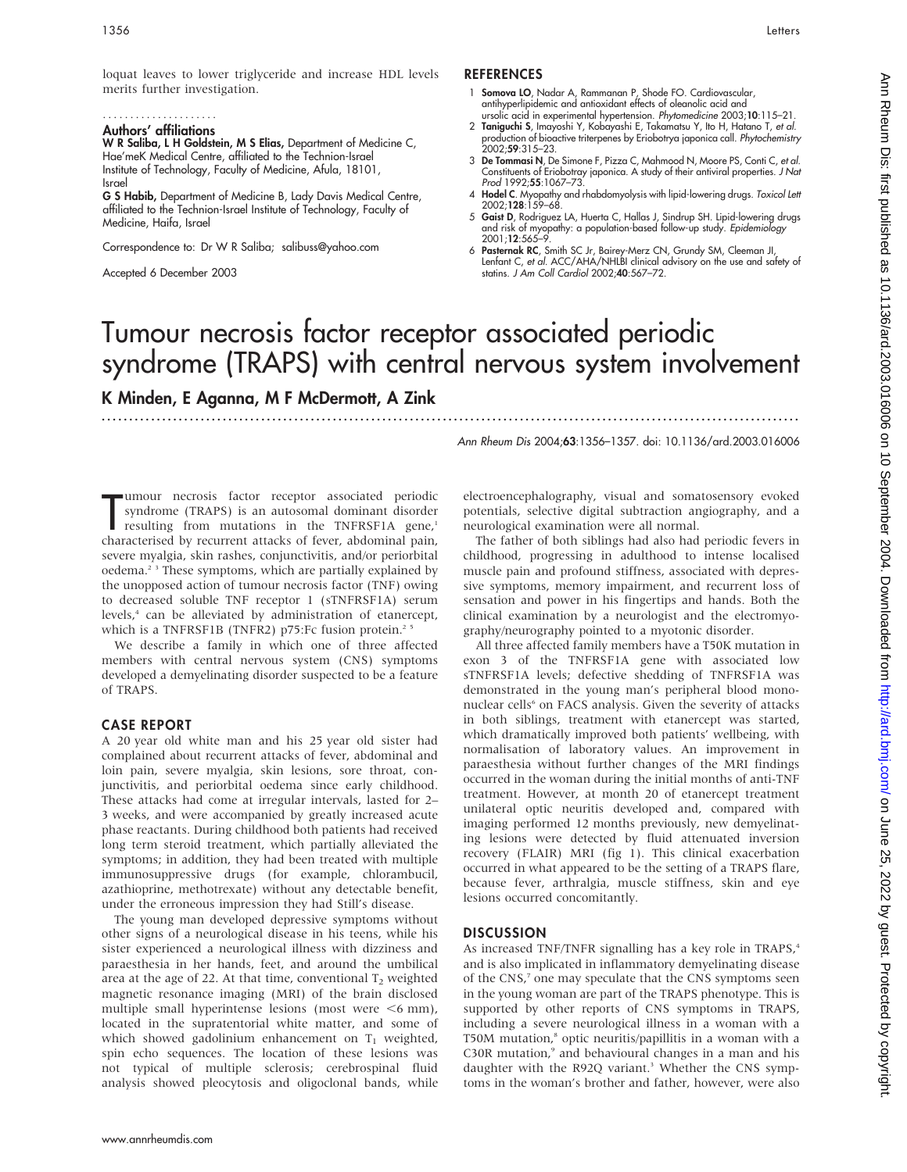loquat leaves to lower triglyceride and increase HDL levels merits further investigation.

### Authors' affiliations .....................

W R Saliba, L H Goldstein, M S Elias, Department of Medicine C, Hae'meK Medical Centre, affiliated to the Technion-Israel Institute of Technology, Faculty of Medicine, Afula, 18101, Israel

G S Habib, Department of Medicine B, Lady Davis Medical Centre, affiliated to the Technion-Israel Institute of Technology, Faculty of Medicine, Haifa, Israel

Correspondence to: Dr W R Saliba; salibuss@yahoo.com

Accepted 6 December 2003

### **REFERENCES**

- 1 Somova LO, Nadar A, Rammanan P, Shode FO. Cardiovascular, antihyperlipidemic and antioxidant effects of oleanolic acid and
- . 15–15:15, ursolic acid in experimental hypertension. *Phytomedicine* 2003;<br>2 **Taniguchi S**, Imayoshi Y, Kobayashi E, Takamatsu Y, Ito H, Hatano T, *et al.*<br>production of bioactive triterpenes by Eriobotrya japonica call. 2002;59:315–23.
- 3 De Tommasi N, De Simone F, Pizza C, Mahmood N, Moore PS, Conti C, et al. Constituents of Eriobotray japonica. A study of their antiviral properties. J Nat Prod 1992;55:1067–73.
- 4 Hodel C. Myopathy and rhabdomyolysis with lipid-lowering drugs. Toxicol Lett 2002;128:159–68.
- 5 Gaist D, Rodriguez LA, Huerta C, Hallas J, Sindrup SH. Lipid-lowering drugs and risk of myopathy: a population-based follow-up study. *Epidemiology*<br>2001;**12**:565–9.
- 6 Pasternak RC, Smith SC Jr, Bairey-Merz CN, Grundy SM, Cleeman JI, Lenfant C, et al. ACC/AHA/NHLBI clinical advisory on the use and safety of statins. J Am Coll Cardiol 2002;40:567–72.

# Tumour necrosis factor receptor associated periodic syndrome (TRAPS) with central nervous system involvement

...............................................................................................................................

K Minden, E Aganna, M F McDermott, A Zink

Ann Rheum Dis 2004;63:1356–1357. doi: 10.1136/ard.2003.016006

mour necrosis factor receptor associated periodic<br>syndrome (TRAPS) is an autosomal dominant disorder<br>resulting from mutations in the TNFRSF1A gene,<sup>1</sup><br>characterised by recurrent attacks of fever, abdominal pain, umour necrosis factor receptor associated periodic syndrome (TRAPS) is an autosomal dominant disorder resulting from mutations in the TNFRSF1A gene,<sup>1</sup> severe myalgia, skin rashes, conjunctivitis, and/or periorbital oedema.<sup>23</sup> These symptoms, which are partially explained by the unopposed action of tumour necrosis factor (TNF) owing to decreased soluble TNF receptor 1 (sTNFRSF1A) serum levels,<sup>4</sup> can be alleviated by administration of etanercept, which is a TNFRSF1B (TNFR2) p75:Fc fusion protein.<sup>25</sup>

We describe a family in which one of three affected members with central nervous system (CNS) symptoms developed a demyelinating disorder suspected to be a feature of TRAPS.

### CASE REPORT

A 20 year old white man and his 25 year old sister had complained about recurrent attacks of fever, abdominal and loin pain, severe myalgia, skin lesions, sore throat, conjunctivitis, and periorbital oedema since early childhood. These attacks had come at irregular intervals, lasted for 2– 3 weeks, and were accompanied by greatly increased acute phase reactants. During childhood both patients had received long term steroid treatment, which partially alleviated the symptoms; in addition, they had been treated with multiple immunosuppressive drugs (for example, chlorambucil, azathioprine, methotrexate) without any detectable benefit, under the erroneous impression they had Still's disease.

The young man developed depressive symptoms without other signs of a neurological disease in his teens, while his sister experienced a neurological illness with dizziness and paraesthesia in her hands, feet, and around the umbilical area at the age of 22. At that time, conventional  $T_2$  weighted magnetic resonance imaging (MRI) of the brain disclosed multiple small hyperintense lesions (most were  $\leq 6$  mm), located in the supratentorial white matter, and some of which showed gadolinium enhancement on  $T_1$  weighted, spin echo sequences. The location of these lesions was not typical of multiple sclerosis; cerebrospinal fluid analysis showed pleocytosis and oligoclonal bands, while

electroencephalography, visual and somatosensory evoked potentials, selective digital subtraction angiography, and a neurological examination were all normal.

The father of both siblings had also had periodic fevers in childhood, progressing in adulthood to intense localised muscle pain and profound stiffness, associated with depressive symptoms, memory impairment, and recurrent loss of sensation and power in his fingertips and hands. Both the clinical examination by a neurologist and the electromyography/neurography pointed to a myotonic disorder.

All three affected family members have a T50K mutation in exon 3 of the TNFRSF1A gene with associated low sTNFRSF1A levels; defective shedding of TNFRSF1A was demonstrated in the young man's peripheral blood mononuclear cells<sup>6</sup> on FACS analysis. Given the severity of attacks in both siblings, treatment with etanercept was started, which dramatically improved both patients' wellbeing, with normalisation of laboratory values. An improvement in paraesthesia without further changes of the MRI findings occurred in the woman during the initial months of anti-TNF treatment. However, at month 20 of etanercept treatment unilateral optic neuritis developed and, compared with imaging performed 12 months previously, new demyelinating lesions were detected by fluid attenuated inversion recovery (FLAIR) MRI (fig 1). This clinical exacerbation occurred in what appeared to be the setting of a TRAPS flare, because fever, arthralgia, muscle stiffness, skin and eye lesions occurred concomitantly.

### **DISCUSSION**

As increased TNF/TNFR signalling has a key role in TRAPS,<sup>4</sup> and is also implicated in inflammatory demyelinating disease of the CNS,<sup>7</sup> one may speculate that the CNS symptoms seen in the young woman are part of the TRAPS phenotype. This is supported by other reports of CNS symptoms in TRAPS, including a severe neurological illness in a woman with a T50M mutation,<sup>8</sup> optic neuritis/papillitis in a woman with a C30R mutation,<sup>9</sup> and behavioural changes in a man and his daughter with the R92Q variant.<sup>3</sup> Whether the CNS symptoms in the woman's brother and father, however, were also